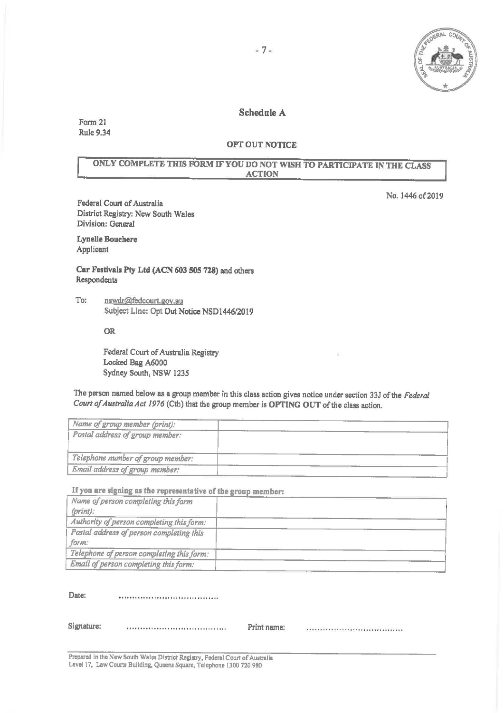

No. 1446 of 2019

## Schedule A

Form 21 Rule 9.34

## OPT OUT NOTICE

# ONLY COMPLETE THIS FORM IF YOU DO NOT WISH TO PARTICIPATE IN THE CLASS ACTION

Federal Court of Australia District Registry: New South Wales Division: General

Lynelle Bouchere Applicant

Car Festivals Pty Ltd (ACN 603 505 728) and others Respondents

To: nswdr@fedcourt.gov.au Subject Line: Opt Out Notice NSD1446/2019

OR

Federal Court of Australia Registry Locked Bag A6000 Sydney South, NSW *1235* 

The person named below as a group member in this class action gives notice under section 33J of the *Federal Court of Australia Act 1976* (Cth) that the group member is **OPTING** OUT of the class action.

| Name of group member (print):     |  |
|-----------------------------------|--|
| Postal address of group member:   |  |
|                                   |  |
| Telephone number of group member: |  |
| Email address of group member:    |  |

If **you are signing as the representative of the group member:** 

| Name of person completing this form       |  |
|-------------------------------------------|--|
| $(print)$ :                               |  |
| Authority of person completing this form: |  |
| Postal address of person completing this  |  |
| form:                                     |  |
| Telephone of person completing this form: |  |
| Email of person completing this form:     |  |

**Date:**  

Signature: Print name:

Prepared in the New South Wales District Registry, Federal Court of Australia Level 17, Law Courts Building. Queens Square, Telephone 1300 720 980